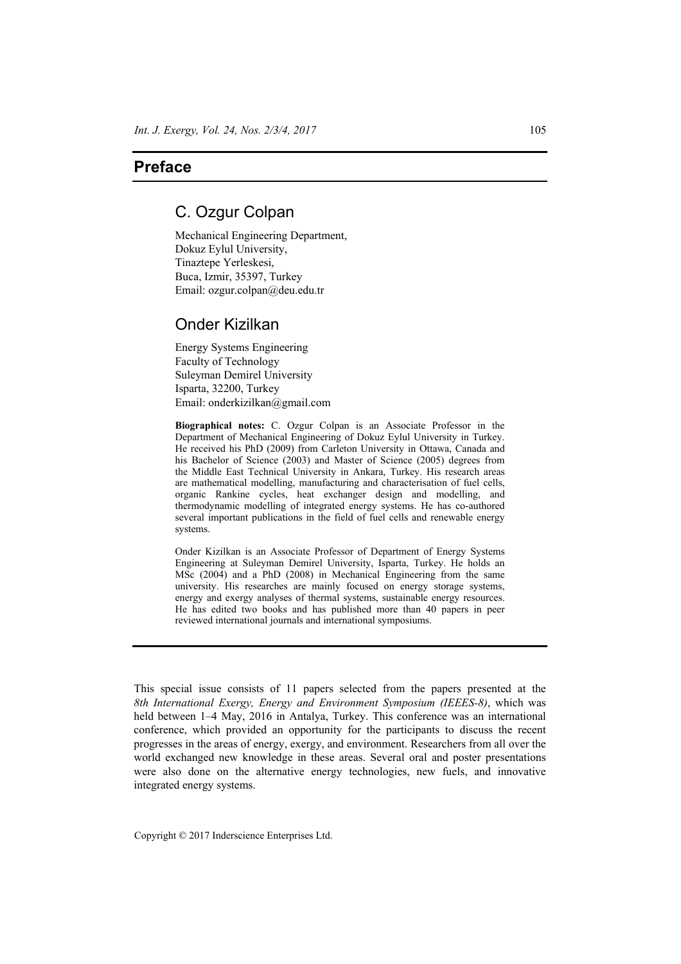## **Preface**

## C. Ozgur Colpan

Mechanical Engineering Department, Dokuz Eylul University, Tinaztepe Yerleskesi, Buca, Izmir, 35397, Turkey Email: ozgur.colpan@deu.edu.tr

## Onder Kizilkan

Energy Systems Engineering Faculty of Technology Suleyman Demirel University Isparta, 32200, Turkey Email: onderkizilkan@gmail.com

**Biographical notes:** C. Ozgur Colpan is an Associate Professor in the Department of Mechanical Engineering of Dokuz Eylul University in Turkey. He received his PhD (2009) from Carleton University in Ottawa, Canada and his Bachelor of Science (2003) and Master of Science (2005) degrees from the Middle East Technical University in Ankara, Turkey. His research areas are mathematical modelling, manufacturing and characterisation of fuel cells, organic Rankine cycles, heat exchanger design and modelling, and thermodynamic modelling of integrated energy systems. He has co-authored several important publications in the field of fuel cells and renewable energy systems.

Onder Kizilkan is an Associate Professor of Department of Energy Systems Engineering at Suleyman Demirel University, Isparta, Turkey. He holds an MSc (2004) and a PhD (2008) in Mechanical Engineering from the same university. His researches are mainly focused on energy storage systems, energy and exergy analyses of thermal systems, sustainable energy resources. He has edited two books and has published more than 40 papers in peer reviewed international journals and international symposiums.

This special issue consists of 11 papers selected from the papers presented at the *8th International Exergy, Energy and Environment Symposium (IEEES-8)*, which was held between 1–4 May, 2016 in Antalya, Turkey. This conference was an international conference, which provided an opportunity for the participants to discuss the recent progresses in the areas of energy, exergy, and environment. Researchers from all over the world exchanged new knowledge in these areas. Several oral and poster presentations were also done on the alternative energy technologies, new fuels, and innovative integrated energy systems.

Copyright © 2017 Inderscience Enterprises Ltd.